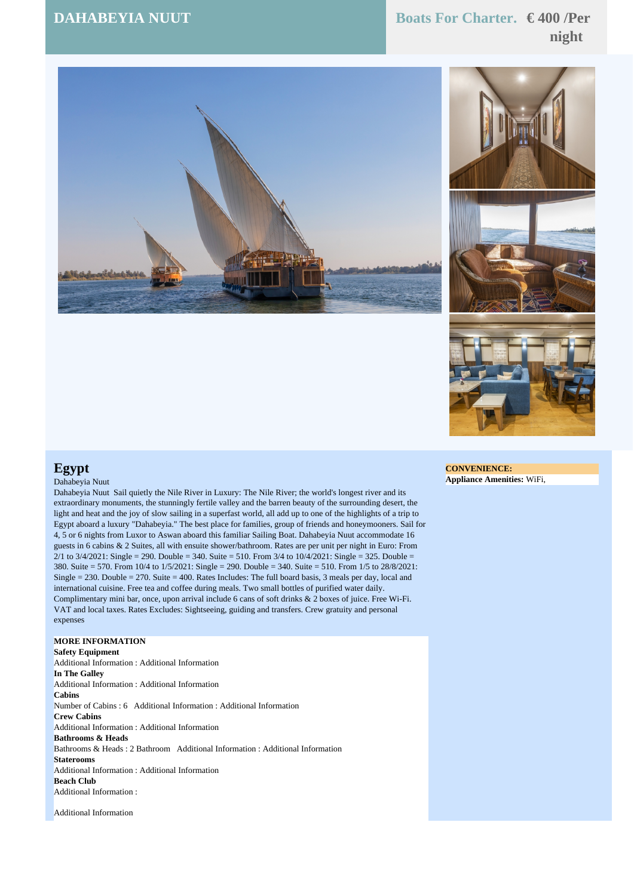# **DAHABEYIA NUUT Boats For Charter. € 400 /Per night**





## **Egypt**

#### Dahabeyia Nuut

Dahabeyia Nuut Sail quietly the Nile River in Luxury: The Nile River; the world's longest river and its extraordinary monuments, the stunningly fertile valley and the barren beauty of the surrounding desert, the light and heat and the joy of slow sailing in a superfast world, all add up to one of the highlights of a trip to Egypt aboard a luxury "Dahabeyia." The best place for families, group of friends and honeymooners. Sail for 4, 5 or 6 nights from Luxor to Aswan aboard this familiar Sailing Boat. Dahabeyia Nuut accommodate 16 guests in 6 cabins & 2 Suites, all with ensuite shower/bathroom. Rates are per unit per night in Euro: From  $2/1$  to  $3/4/2021$ : Single = 290. Double = 340. Suite = 510. From 3/4 to  $10/4/2021$ : Single = 325. Double = 380. Suite = 570. From 10/4 to 1/5/2021: Single = 290. Double = 340. Suite = 510. From 1/5 to 28/8/2021: Single = 230. Double = 270. Suite = 400. Rates Includes: The full board basis, 3 meals per day, local and international cuisine. Free tea and coffee during meals. Two small bottles of purified water daily. Complimentary mini bar, once, upon arrival include 6 cans of soft drinks & 2 boxes of juice. Free Wi-Fi. VAT and local taxes. Rates Excludes: Sightseeing, guiding and transfers. Crew gratuity and personal expenses

### **MORE INFORMATION**

**Safety Equipment** Additional Information : Additional Information **In The Galley** Additional Information : Additional Information **Cabins** Number of Cabins : 6 Additional Information : Additional Information **Crew Cabins** Additional Information : Additional Information **Bathrooms & Heads** Bathrooms & Heads : 2 Bathroom Additional Information : Additional Information **Staterooms** Additional Information : Additional Information **Beach Club** Additional Information :

Additional Information

#### **CONVENIENCE: Appliance Amenities:** WiFi,